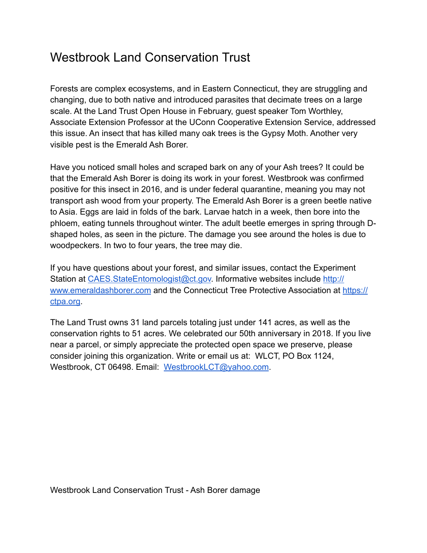## Westbrook Land Conservation Trust

Forests are complex ecosystems, and in Eastern Connecticut, they are struggling and changing, due to both native and introduced parasites that decimate trees on a large scale. At the Land Trust Open House in February, guest speaker Tom Worthley, Associate Extension Professor at the UConn Cooperative Extension Service, addressed this issue. An insect that has killed many oak trees is the Gypsy Moth. Another very visible pest is the Emerald Ash Borer.

Have you noticed small holes and scraped bark on any of your Ash trees? It could be that the Emerald Ash Borer is doing its work in your forest. Westbrook was confirmed positive for this insect in 2016, and is under federal quarantine, meaning you may not transport ash wood from your property. The Emerald Ash Borer is a green beetle native to Asia. Eggs are laid in folds of the bark. Larvae hatch in a week, then bore into the phloem, eating tunnels throughout winter. The adult beetle emerges in spring through Dshaped holes, as seen in the picture. The damage you see around the holes is due to woodpeckers. In two to four years, the tree may die.

If you have questions about your forest, and similar issues, contact the Experiment Station at [CAES.StateEntomologist@ct.gov.](mailto:CAES.StateEntomologist@ct.gov) Informative websites include [http://](http://www.emeraldashborer.com/) [www.emeraldashborer.com](http://www.emeraldashborer.com/) and the Connecticut Tree Protective Association at [https://](https://ctpa.org/) [ctpa.org](https://ctpa.org/).

The Land Trust owns 31 land parcels totaling just under 141 acres, as well as the conservation rights to 51 acres. We celebrated our 50th anniversary in 2018. If you live near a parcel, or simply appreciate the protected open space we preserve, please consider joining this organization. Write or email us at: WLCT, PO Box 1124, Westbrook, CT 06498. Email: [WestbrookLCT@yahoo.com.](mailto:WestbrookLCT@yahoo.com)

Westbrook Land Conservation Trust - Ash Borer damage